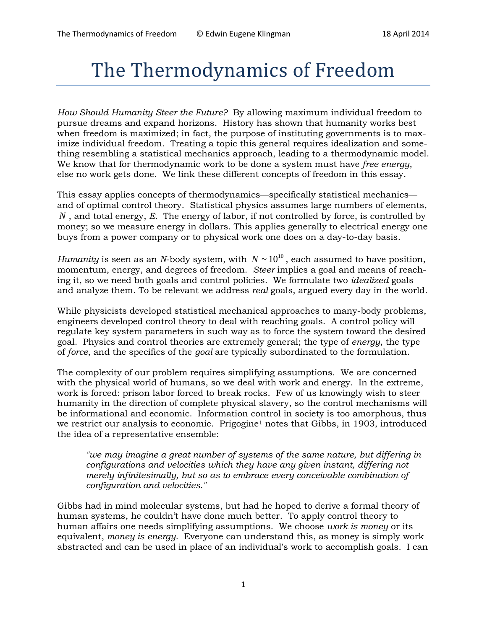# The Thermodynamics of Freedom

*How Should Humanity Steer the Future?* By allowing maximum individual freedom to pursue dreams and expand horizons. History has shown that humanity works best when freedom is maximized; in fact, the purpose of instituting governments is to maximize individual freedom. Treating a topic this general requires idealization and something resembling a statistical mechanics approach, leading to a thermodynamic model. We know that for thermodynamic work to be done a system must have *free energy*, else no work gets done. We link these different concepts of freedom in this essay.

This essay applies concepts of thermodynamics—specifically statistical mechanics and of optimal control theory. Statistical physics assumes large numbers of elements, *N* , and total energy, *E.* The energy of labor, if not controlled by force, is controlled by money; so we measure energy in dollars. This applies generally to electrical energy one buys from a power company or to physical work one does on a day-to-day basis.

*Humanity* is seen as an *N*-body system, with  $N \sim 10^{10}$ , each assumed to have position, momentum, energy, and degrees of freedom. *Steer* implies a goal and means of reaching it, so we need both goals and control policies. We formulate two *idealized* goals and analyze them. To be relevant we address *real* goals, argued every day in the world.

While physicists developed statistical mechanical approaches to many-body problems, engineers developed control theory to deal with reaching goals. A control policy will regulate key system parameters in such way as to force the system toward the desired goal. Physics and control theories are extremely general; the type of *energy*, the type of *force*, and the specifics of the *goal* are typically subordinated to the formulation.

The complexity of our problem requires simplifying assumptions. We are concerned with the physical world of humans, so we deal with work and energy. In the extreme, work is forced: prison labor forced to break rocks. Few of us knowingly wish to steer humanity in the direction of complete physical slavery, so the control mechanisms will be informational and economic. Information control in society is too amorphous, thus we restrict our analysis to economic. Prigogine<sup>1</sup> notes that Gibbs, in 1903, introduced the idea of a representative ensemble:

*"we may imagine a great number of systems of the same nature, but differing in configurations and velocities which they have any given instant, differing not merely infinitesimally, but so as to embrace every conceivable combination of configuration and velocities."* 

Gibbs had in mind molecular systems, but had he hoped to derive a formal theory of human systems, he couldn't have done much better. To apply control theory to human affairs one needs simplifying assumptions. We choose *work is money* or its equivalent, *money is energy*. Everyone can understand this, as money is simply work abstracted and can be used in place of an individual's work to accomplish goals. I can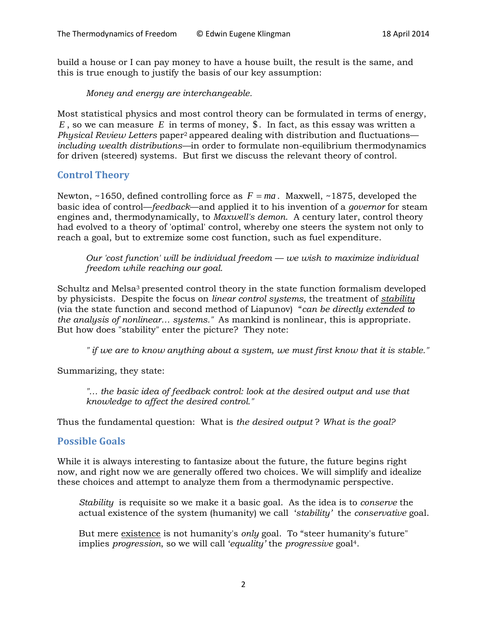build a house or I can pay money to have a house built, the result is the same, and this is true enough to justify the basis of our key assumption:

*Money and energy are interchangeable.*

Most statistical physics and most control theory can be formulated in terms of energy,  $E$ , so we can measure  $E$  in terms of money,  $\S$ . In fact, as this essay was written a *Physical Review Letters* paper2 appeared dealing with distribution and fluctuations *including wealth distributions—*in order to formulate non-equilibrium thermodynamics for driven (steered) systems. But first we discuss the relevant theory of control.

#### **Control Theory**

Newton, ~1650, defined controlling force as  $F = ma$ . Maxwell, ~1875, developed the basic idea of control—*feedback*—and applied it to his invention of a *governor* for steam engines and, thermodynamically, to *Maxwell's demon*. A century later, control theory had evolved to a theory of 'optimal' control, whereby one steers the system not only to reach a goal, but to extremize some cost function, such as fuel expenditure.

*Our 'cost function' will be individual freedom — we wish to maximize individual freedom while reaching our goal.*

Schultz and Melsa<sup>3</sup> presented control theory in the state function formalism developed by physicists. Despite the focus on *linear control systems*, the treatment of *stability* (via the state function and second method of Liapunov) "*can be directly extended to the analysis of nonlinear… systems."* As mankind is nonlinear, this is appropriate. But how does "stability" enter the picture? They note:

*" if we are to know anything about a system, we must first know that it is stable."*

Summarizing, they state:

"... the basic idea of feedback control: look at the desired output and use that *knowledge to affect the desired control."*

Thus the fundamental question: What is *the desired output* ? *What is the goal?*

## **Possible Goals**

While it is always interesting to fantasize about the future, the future begins right now, and right now we are generally offered two choices. We will simplify and idealize these choices and attempt to analyze them from a thermodynamic perspective.

*Stability* is requisite so we make it a basic goal. As the idea is to *conserve* the actual existence of the system (humanity) we call '*stability'* the *conservative* goal.

But mere existence is not humanity's *only* goal. To "steer humanity's future" implies *progression*, so we will call '*equality'* the *progressive* goal4.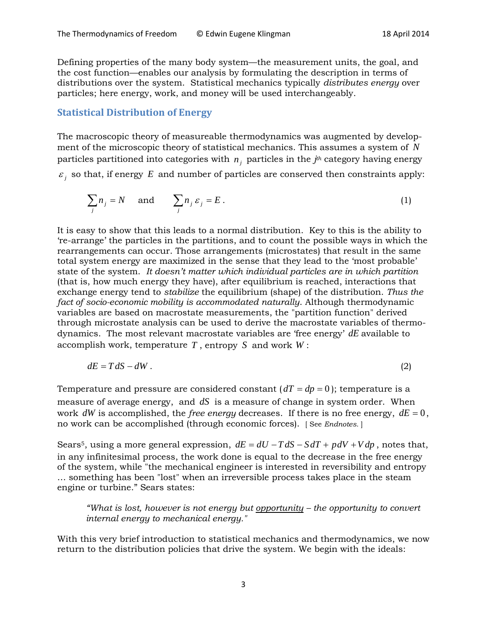Defining properties of the many body system—the measurement units, the goal, and the cost function—enables our analysis by formulating the description in terms of distributions over the system. Statistical mechanics typically *distributes energy* over particles; here energy, work, and money will be used interchangeably.

## **Statistical Distribution of Energy**

The macroscopic theory of measureable thermodynamics was augmented by development of the microscopic theory of statistical mechanics. This assumes a system of *N* particles partitioned into categories with  $n_i$  particles in the  $j<sup>th</sup>$  category having energy  $\epsilon_i$  so that, if energy *E* and number of particles are conserved then constraints apply:

$$
\sum_{j} n_{j} = N \quad \text{and} \quad \sum_{j} n_{j} \varepsilon_{j} = E. \tag{1}
$$

It is easy to show that this leads to a normal distribution. Key to this is the ability to 're-arrange' the particles in the partitions, and to count the possible ways in which the rearrangements can occur. Those arrangements (microstates) that result in the same total system energy are maximized in the sense that they lead to the 'most probable' state of the system. *It doesn't matter which individual particles are in which partition* (that is, how much energy they have), after equilibrium is reached, interactions that exchange energy tend to *stabilize* the equilibrium (shape) of the distribution. *Thus the fact of socio-economic mobility is accommodated naturally*. Although thermodynamic variables are based on macrostate measurements, the "partition function" derived through microstate analysis can be used to derive the macrostate variables of thermodynamics. The most relevant macrostate variables are 'free energy' *dE* available to accomplish work, temperature *T* , entropy *S* and work *W* :

$$
dE = T dS - dW. \tag{2}
$$

Temperature and pressure are considered constant  $(dT = dp = 0)$ ; temperature is a measure of average energy, and *dS* is a measure of change in system order. When work  $dW$  is accomplished, the *free energy* decreases. If there is no free energy,  $dE = 0$ , no work can be accomplished (through economic forces). [ See *Endnotes.* ]

Sears<sup>5</sup>, using a more general expression,  $dE = dU - T dS - S dT + pdV + V dp$ , notes that, in any infinitesimal process, the work done is equal to the decrease in the free energy of the system, while "the mechanical engineer is interested in reversibility and entropy … something has been "lost" when an irreversible process takes place in the steam engine or turbine." Sears states:

*"What is lost, however is not energy but opportunity – the opportunity to convert internal energy to mechanical energy."*

With this very brief introduction to statistical mechanics and thermodynamics, we now return to the distribution policies that drive the system. We begin with the ideals: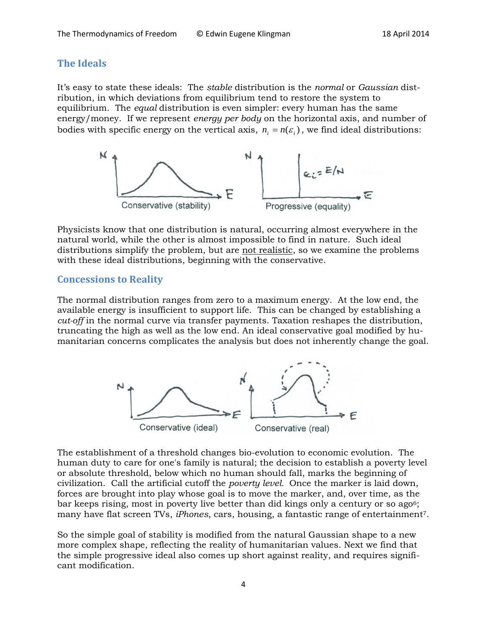## **The Ideals**

It's easy to state these ideals: The *stable* distribution is the *normal* or *Gaussian* distribution, in which deviations from equilibrium tend to restore the system to equilibrium. The *equal* distribution is even simpler: every human has the same energy/money. If we represent *energy per body* on the horizontal axis, and number of bodies with specific energy on the vertical axis,  $n_i = n(\varepsilon_i)$ , we find ideal distributions:



Physicists know that one distribution is natural, occurring almost everywhere in the natural world, while the other is almost impossible to find in nature. Such ideal distributions simplify the problem, but are not realistic, so we examine the problems with these ideal distributions, beginning with the conservative.

### **Concessions to Reality**

The normal distribution ranges from zero to a maximum energy. At the low end, the available energy is insufficient to support life. This can be changed by establishing a *cut-off* in the normal curve via transfer payments. Taxation reshapes the distribution, truncating the high as well as the low end. An ideal conservative goal modified by humanitarian concerns complicates the analysis but does not inherently change the goal.



The establishment of a threshold changes bio-evolution to economic evolution. The human duty to care for one's family is natural; the decision to establish a poverty level or absolute threshold, below which no human should fall, marks the beginning of civilization. Call the artificial cutoff the *poverty level.* Once the marker is laid down, forces are brought into play whose goal is to move the marker, and, over time, as the bar keeps rising, most in poverty live better than did kings only a century or so ago<sup>6</sup>; many have flat screen TVs, *iPhones*, cars, housing, a fantastic range of entertainment7.

So the simple goal of stability is modified from the natural Gaussian shape to a new more complex shape, reflecting the reality of humanitarian values. Next we find that the simple progressive ideal also comes up short against reality, and requires significant modification.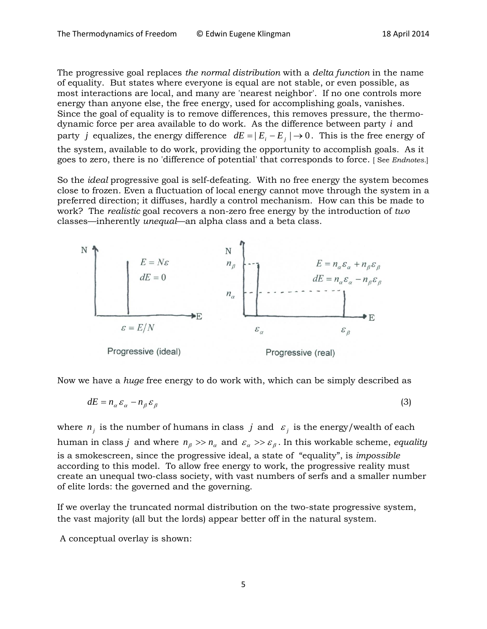The progressive goal replaces *the normal distribution* with a *delta function* in the name of equality. But states where everyone is equal are not stable, or even possible, as most interactions are local, and many are 'nearest neighbor'. If no one controls more energy than anyone else, the free energy, used for accomplishing goals, vanishes. Since the goal of equality is to remove differences, this removes pressure, the thermodynamic force per area available to do work. As the difference between party *i* and party *j* equalizes, the energy difference  $dE = |E_i - E_j| \rightarrow 0$ . This is the free energy of the system, available to do work, providing the opportunity to accomplish goals. As it goes to zero, there is no 'difference of potential' that corresponds to force. [ See *Endnotes.*]

So the *ideal* progressive goal is self-defeating. With no free energy the system becomes close to frozen. Even a fluctuation of local energy cannot move through the system in a preferred direction; it diffuses, hardly a control mechanism. How can this be made to work? The *realistic* goal recovers a non-zero free energy by the introduction of *two* classes—inherently *unequal*—an alpha class and a beta class.



Now we have a *huge* free energy to do work with, which can be simply described as

$$
dE = n_{\alpha} \varepsilon_{\alpha} - n_{\beta} \varepsilon_{\beta} \tag{3}
$$

where  $n_i$  is the number of humans in class *j* and  $\varepsilon_i$  is the energy/wealth of each human in class *j* and where  $n_{\beta}$  >>  $n_{\alpha}$  and  $\varepsilon_{\alpha}$  >>  $\varepsilon_{\beta}$ . In this workable scheme, *equality* is a smokescreen, since the progressive ideal, a state of "equality", is *impossible* according to this model. To allow free energy to work, the progressive reality must create an unequal two-class society, with vast numbers of serfs and a smaller number of elite lords: the governed and the governing.

If we overlay the truncated normal distribution on the two-state progressive system, the vast majority (all but the lords) appear better off in the natural system.

A conceptual overlay is shown: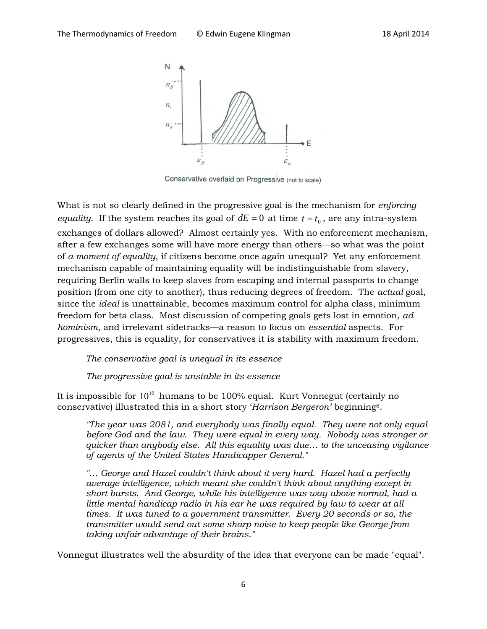

Conservative overlaid on Progressive (not to scale)

What is not so clearly defined in the progressive goal is the mechanism for *enforcing equality*. If the system reaches its goal of  $dE = 0$  at time  $t = t_0$ , are any intra-system exchanges of dollars allowed? Almost certainly yes. With no enforcement mechanism, after a few exchanges some will have more energy than others—so what was the point of *a moment of equality*, if citizens become once again unequal? Yet any enforcement mechanism capable of maintaining equality will be indistinguishable from slavery, requiring Berlin walls to keep slaves from escaping and internal passports to change position (from one city to another), thus reducing degrees of freedom. The *actual* goal, since the *ideal* is unattainable, becomes maximum control for alpha class, minimum freedom for beta class. Most discussion of competing goals gets lost in emotion*, ad hominism*, and irrelevant sidetracks—a reason to focus on *essential* aspects. For progressives, this is equality, for conservatives it is stability with maximum freedom.

*The conservative goal is unequal in its essence*

*The progressive goal is unstable in its essence*

It is impossible for  $10^{10}$  humans to be 100% equal. Kurt Vonnegut (certainly no conservative) illustrated this in a short story '*Harrison Bergeron'* beginning8.

*"The year was 2081, and everybody was finally equal. They were not only equal before God and the law. They were equal in every way. Nobody was stronger or quicker than anybody else. All this equality was due… to the unceasing vigilance of agents of the United States Handicapper General."*

"... George and Hazel couldn't think about it very hard. Hazel had a perfectly *average intelligence, which meant she couldn't think about anything except in short bursts. And George, while his intelligence was way above normal, had a little mental handicap radio in his ear he was required by law to wear at all times. It was tuned to a government transmitter. Every 20 seconds or so, the transmitter would send out some sharp noise to keep people like George from taking unfair advantage of their brains."*

Vonnegut illustrates well the absurdity of the idea that everyone can be made "equal".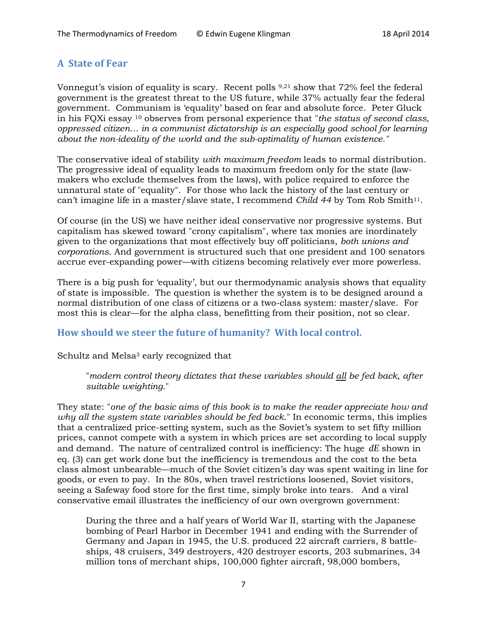## **A State of Fear**

Vonnegut's vision of equality is scary. Recent polls 9,21 show that 72% feel the federal government is the greatest threat to the US future, while 37% actually fear the federal government. Communism is 'equality' based on fear and absolute force. Peter Gluck in his FQXi essay 10 observes from personal experience that "*the status of second class, oppressed citizen… in a communist dictatorship is an especially good school for learning about the non-ideality of the world and the sub-optimality of human existence."*

The conservative ideal of stability *with maximum freedom* leads to normal distribution. The progressive ideal of equality leads to maximum freedom only for the state (lawmakers who exclude themselves from the laws), with police required to enforce the unnatural state of "equality". For those who lack the history of the last century or can't imagine life in a master/slave state, I recommend *Child 44* by Tom Rob Smith<sup>11</sup>.

Of course (in the US) we have neither ideal conservative nor progressive systems. But capitalism has skewed toward "crony capitalism", where tax monies are inordinately given to the organizations that most effectively buy off politicians, *both unions and corporations*. And government is structured such that one president and 100 senators accrue ever-expanding power—with citizens becoming relatively ever more powerless.

There is a big push for 'equality', but our thermodynamic analysis shows that equality of state is impossible. The question is whether the system is to be designed around a normal distribution of one class of citizens or a two-class system: master/slave. For most this is clear—for the alpha class, benefitting from their position, not so clear.

## **How should we steer the future of humanity? With local control.**

#### Schultz and Melsa<sup>3</sup> early recognized that

"*modern control theory dictates that these variables should all be fed back, after suitable weighting*."

They state: "*one of the basic aims of this book is to make the reader appreciate how and why all the system state variables should be fed back*." In economic terms, this implies that a centralized price-setting system, such as the Soviet's system to set fifty million prices, cannot compete with a system in which prices are set according to local supply and demand. The nature of centralized control is inefficiency: The huge *dE* shown in eq. (3) can get work done but the inefficiency is tremendous and the cost to the beta class almost unbearable—much of the Soviet citizen's day was spent waiting in line for goods, or even to pay. In the 80s, when travel restrictions loosened, Soviet visitors, seeing a Safeway food store for the first time, simply broke into tears. And a viral conservative email illustrates the inefficiency of our own overgrown government:

During the three and a half years of World War II, starting with the Japanese bombing of Pearl Harbor in December 1941 and ending with the Surrender of Germany and Japan in 1945, the U.S. produced 22 aircraft carriers, 8 battleships, 48 cruisers, 349 destroyers, 420 destroyer escorts, 203 submarines, 34 million tons of merchant ships, 100,000 fighter aircraft, 98,000 bombers,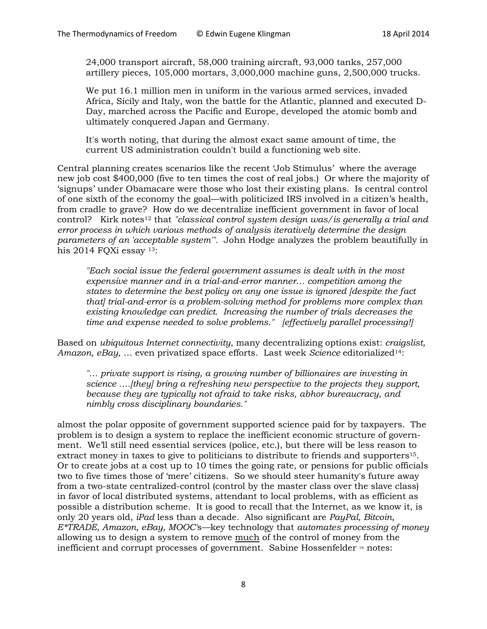24,000 transport aircraft, 58,000 training aircraft, 93,000 tanks, 257,000 artillery pieces, 105,000 mortars, 3,000,000 machine guns, 2,500,000 trucks.

We put 16.1 million men in uniform in the various armed services, invaded Africa, Sicily and Italy, won the battle for the Atlantic, planned and executed D-Day, marched across the Pacific and Europe, developed the atomic bomb and ultimately conquered Japan and Germany.

It's worth noting, that during the almost exact same amount of time, the current US administration couldn't build a functioning web site.

Central planning creates scenarios like the recent 'Job Stimulus' where the average new job cost \$400,000 (five to ten times the cost of real jobs.) Or where the majority of 'signups' under Obamacare were those who lost their existing plans. Is central control of one sixth of the economy the goal—with politicized IRS involved in a citizen's health, from cradle to grave? How do we decentralize inefficient government in favor of local control? Kirk notes<sup>12</sup> that "classical control system design was/ is generally a trial and *error process in which various methods of analysis iteratively determine the design parameters of an 'acceptable system'".* John Hodge analyzes the problem beautifully in his 2014 FQXi essay 13:

*"Each social issue the federal government assumes is dealt with in the most expensive manner and in a trial-and-error manner… competition among the states to determine the best policy on any one issue is ignored [despite the fact that] trial-and-error is a problem-solving method for problems more complex than existing knowledge can predict. Increasing the number of trials decreases the time and expense needed to solve problems." [effectively parallel processing!]*

Based on *ubiquitous Internet connectivity*, many decentralizing options exist: *craigslist, Amazon, eBay,* … even privatized space efforts. Last week *Science* editorialized14:

*"… private support is rising, a growing number of billionaires are investing in science ….[they] bring a refreshing new perspective to the projects they support, because they are typically not afraid to take risks, abhor bureaucracy, and nimbly cross disciplinary boundaries."* 

almost the polar opposite of government supported science paid for by taxpayers. The problem is to design a system to replace the inefficient economic structure of government. We'll still need essential services (police, etc.), but there will be less reason to extract money in taxes to give to politicians to distribute to friends and supporters<sup>15</sup>. Or to create jobs at a cost up to 10 times the going rate, or pensions for public officials two to five times those of 'mere' citizens. So we should steer humanity's future away from a two-state centralized-control (control by the master class over the slave class) in favor of local distributed systems, attendant to local problems, with as efficient as possible a distribution scheme. It is good to recall that the Internet, as we know it, is only 20 years old, *iPad* less than a decade. Also significant are *PayPal, Bitcoin, E\*TRADE, Amazon, eBay, MOOC'*s—key technology that *automates processing of money* allowing us to design a system to remove much of the control of money from the inefficient and corrupt processes of government. Sabine Hossenfelder 16 notes: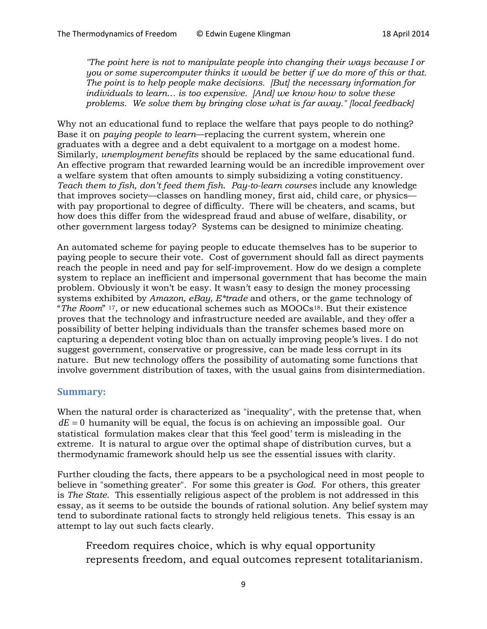*"The point here is not to manipulate people into changing their ways because I or you or some supercomputer thinks it would be better if we do more of this or that. The point is to help people make decisions. [But] the necessary information for individuals to learn… is too expensive. [And] we know how to solve these problems. We solve them by bringing close what is far away." [local feedback]*

Why not an educational fund to replace the welfare that pays people to do nothing? Base it on *paying people to learn*—replacing the current system, wherein one graduates with a degree and a debt equivalent to a mortgage on a modest home. Similarly, *unemployment benefits* should be replaced by the same educational fund. An effective program that rewarded learning would be an incredible improvement over a welfare system that often amounts to simply subsidizing a voting constituency. *Teach them to fish, don't feed them fish*. *Pay-to-learn courses* include any knowledge that improves society—classes on handling money, first aid, child care, or physics with pay proportional to degree of difficulty. There will be cheaters, and scams, but how does this differ from the widespread fraud and abuse of welfare, disability, or other government largess today? Systems can be designed to minimize cheating.

An automated scheme for paying people to educate themselves has to be superior to paying people to secure their vote. Cost of government should fall as direct payments reach the people in need and pay for self-improvement. How do we design a complete system to replace an inefficient and impersonal government that has become the main problem. Obviously it won't be easy. It wasn't easy to design the money processing systems exhibited by *Amazon, eBay, E\*trade* and others, or the game technology of "*The Room*" 17, or new educational schemes such as MOOCs18. But their existence proves that the technology and infrastructure needed are available, and they offer a possibility of better helping individuals than the transfer schemes based more on capturing a dependent voting bloc than on actually improving people's lives. I do not suggest government, conservative or progressive, can be made less corrupt in its nature. But new technology offers the possibility of automating some functions that involve government distribution of taxes, with the usual gains from disintermediation.

#### **Summary:**

When the natural order is characterized as "inequality", with the pretense that, when  $dE = 0$  humanity will be equal, the focus is on achieving an impossible goal. Our statistical formulation makes clear that this 'feel good' term is misleading in the extreme. It is natural to argue over the optimal shape of distribution curves, but a thermodynamic framework should help us see the essential issues with clarity.

Further clouding the facts, there appears to be a psychological need in most people to believe in "something greater". For some this greater is *God*. For others, this greater is *The State*. This essentially religious aspect of the problem is not addressed in this essay, as it seems to be outside the bounds of rational solution. Any belief system may tend to subordinate rational facts to strongly held religious tenets. This essay is an attempt to lay out such facts clearly.

Freedom requires choice, which is why equal opportunity represents freedom, and equal outcomes represent totalitarianism.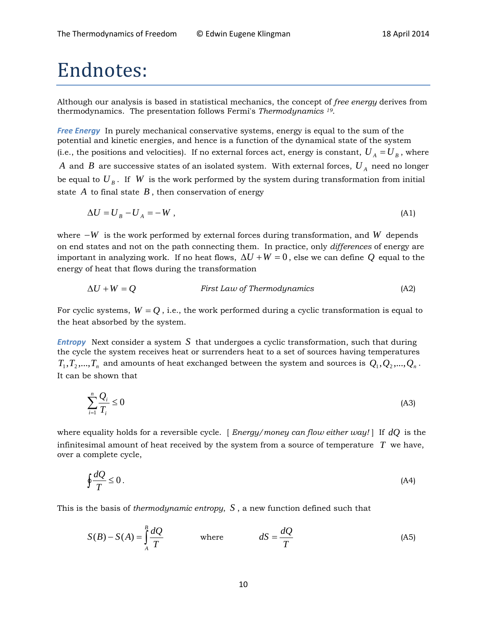# Endnotes:

Although our analysis is based in statistical mechanics, the concept of *free energy* derives from thermodynamics. The presentation follows Fermi's *Thermodynamics 19*.

*Free Energy* In purely mechanical conservative systems, energy is equal to the sum of the potential and kinetic energies, and hence is a function of the dynamical state of the system (i.e., the positions and velocities). If no external forces act, energy is constant,  $U_A = U_B$ , where *A* and *B* are successive states of an isolated system. With external forces,  $U_A$  need no longer be equal to  $U_B$ . If *W* is the work performed by the system during transformation from initial state  $A$  to final state  $B$ , then conservation of energy

$$
\Delta U = U_B - U_A = -W \tag{A1}
$$

where −*W* is the work performed by external forces during transformation, and *W* depends on end states and not on the path connecting them. In practice, only *differences* of energy are important in analyzing work. If no heat flows,  $\Delta U + W = 0$ , else we can define Q equal to the energy of heat that flows during the transformation

$$
\Delta U + W = Q \qquad \qquad \text{First Law of Thermodynamics} \tag{A2}
$$

For cyclic systems,  $W = Q$ , i.e., the work performed during a cyclic transformation is equal to the heat absorbed by the system.

*Entropy* Next consider a system *S* that undergoes a cyclic transformation, such that during the cycle the system receives heat or surrenders heat to a set of sources having temperatures  $T_1, T_2, ..., T_n$  and amounts of heat exchanged between the system and sources is  $Q_1, Q_2, ..., Q_n$ . It can be shown that

$$
\sum_{i=1}^{n} \frac{Q_i}{T_i} \le 0
$$
\n(A3)

where equality holds for a reversible cycle. [ *Energy/money can flow either way!* ] If *dQ* is the infinitesimal amount of heat received by the system from a source of temperature *T* we have, over a complete cycle,

$$
\oint \frac{dQ}{T} \le 0. \tag{A4}
$$

This is the basis of *thermodynamic entropy*, *S* , a new function defined such that

$$
S(B) - S(A) = \int_{A}^{B} \frac{dQ}{T}
$$
 where  $dS = \frac{dQ}{T}$  (A5)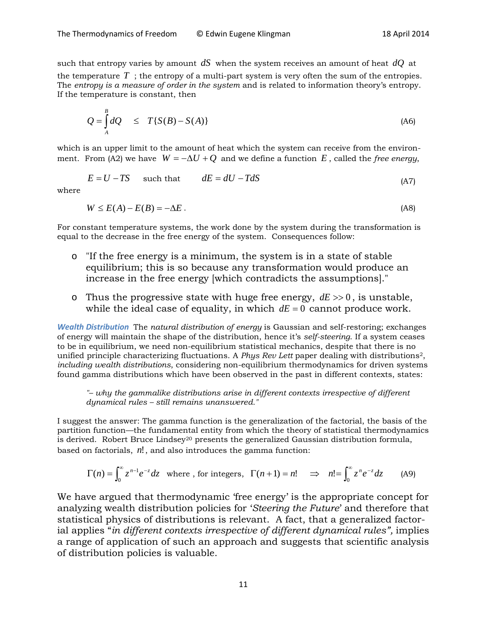such that entropy varies by amount *dS* when the system receives an amount of heat *dQ* at the temperature  $T$ ; the entropy of a multi-part system is very often the sum of the entropies. The *entropy is a measure of order in the system* and is related to information theory's entropy. If the temperature is constant, then

$$
Q = \int_{A}^{B} dQ \leq T\{S(B) - S(A)\}
$$
 (A6)

which is an upper limit to the amount of heat which the system can receive from the environment. From (A2) we have  $W = -\Delta U + Q$  and we define a function E, called the *free energy*,

$$
E = U - TS \qquad such that \qquad dE = dU - TdS \tag{A7}
$$

where

$$
W \le E(A) - E(B) = -\Delta E \tag{A8}
$$

For constant temperature systems, the work done by the system during the transformation is equal to the decrease in the free energy of the system. Consequences follow:

- o "If the free energy is a minimum, the system is in a state of stable equilibrium; this is so because any transformation would produce an increase in the free energy [which contradicts the assumptions]."
- o Thus the progressive state with huge free energy,  $dE \gg 0$ , is unstable, while the ideal case of equality, in which  $dE = 0$  cannot produce work.

*Wealth Distribution* The *natural distribution of energy* is Gaussian and self-restoring; exchanges of energy will maintain the shape of the distribution, hence it's *self-steering*. If a system ceases to be in equilibrium, we need non-equilibrium statistical mechanics, despite that there is no unified principle characterizing fluctuations. A *Phys Rev Lett* paper dealing with distributions2, *including wealth distributions*, considering non-equilibrium thermodynamics for driven systems found gamma distributions which have been observed in the past in different contexts, states:

*"– why the gammalike distributions arise in different contexts irrespective of different dynamical rules – still remains unanswered."*

I suggest the answer: The gamma function is the generalization of the factorial, the basis of the partition function—the fundamental entity from which the theory of statistical thermodynamics is derived. Robert Bruce Lindsey<sup>20</sup> presents the generalized Gaussian distribution formula, based on factorials, *n*!, and also introduces the gamma function:

$$
\Gamma(n) = \int_0^\infty z^{n-1} e^{-z} dz \quad \text{where , for integers, } \Gamma(n+1) = n! \quad \Rightarrow \quad n! = \int_0^\infty z^n e^{-z} dz \qquad (A9)
$$

We have argued that thermodynamic 'free energy' is the appropriate concept for analyzing wealth distribution policies for '*Steering the Future*' and therefore that statistical physics of distributions is relevant. A fact, that a generalized factorial applies "*in different contexts irrespective of different dynamical rules",* implies a range of application of such an approach and suggests that scientific analysis of distribution policies is valuable.